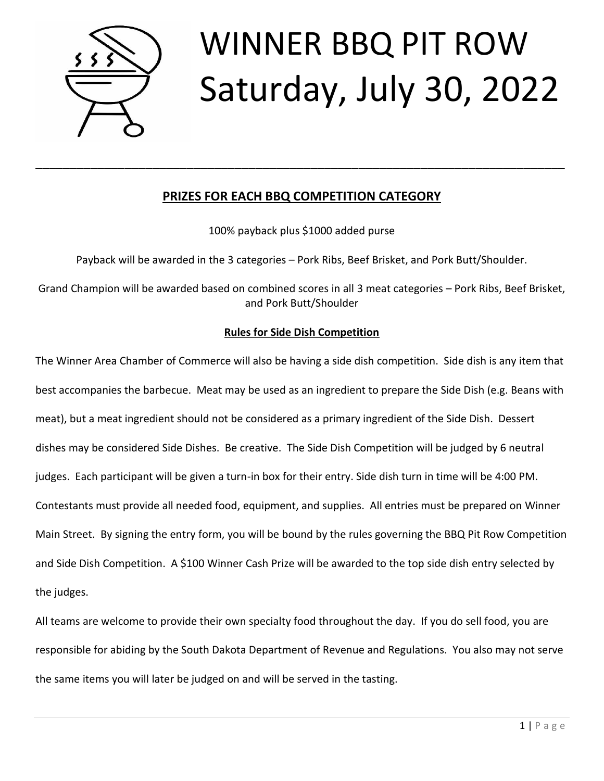

# WINNER BBQ PIT ROW Saturday, July 30, 2022

### **PRIZES FOR EACH BBQ COMPETITION CATEGORY**

\_\_\_\_\_\_\_\_\_\_\_\_\_\_\_\_\_\_\_\_\_\_\_\_\_\_\_\_\_\_\_\_\_\_\_\_\_\_\_\_\_\_\_\_\_\_\_\_\_\_\_\_\_\_\_\_\_\_\_\_\_\_\_\_\_\_\_\_\_\_\_\_\_\_\_\_\_

100% payback plus \$1000 added purse

Payback will be awarded in the 3 categories – Pork Ribs, Beef Brisket, and Pork Butt/Shoulder.

Grand Champion will be awarded based on combined scores in all 3 meat categories – Pork Ribs, Beef Brisket, and Pork Butt/Shoulder

#### **Rules for Side Dish Competition**

The Winner Area Chamber of Commerce will also be having a side dish competition. Side dish is any item that best accompanies the barbecue. Meat may be used as an ingredient to prepare the Side Dish (e.g. Beans with meat), but a meat ingredient should not be considered as a primary ingredient of the Side Dish. Dessert dishes may be considered Side Dishes. Be creative. The Side Dish Competition will be judged by 6 neutral judges. Each participant will be given a turn-in box for their entry. Side dish turn in time will be 4:00 PM. Contestants must provide all needed food, equipment, and supplies. All entries must be prepared on Winner Main Street. By signing the entry form, you will be bound by the rules governing the BBQ Pit Row Competition and Side Dish Competition. A \$100 Winner Cash Prize will be awarded to the top side dish entry selected by the judges.

All teams are welcome to provide their own specialty food throughout the day. If you do sell food, you are responsible for abiding by the South Dakota Department of Revenue and Regulations. You also may not serve the same items you will later be judged on and will be served in the tasting.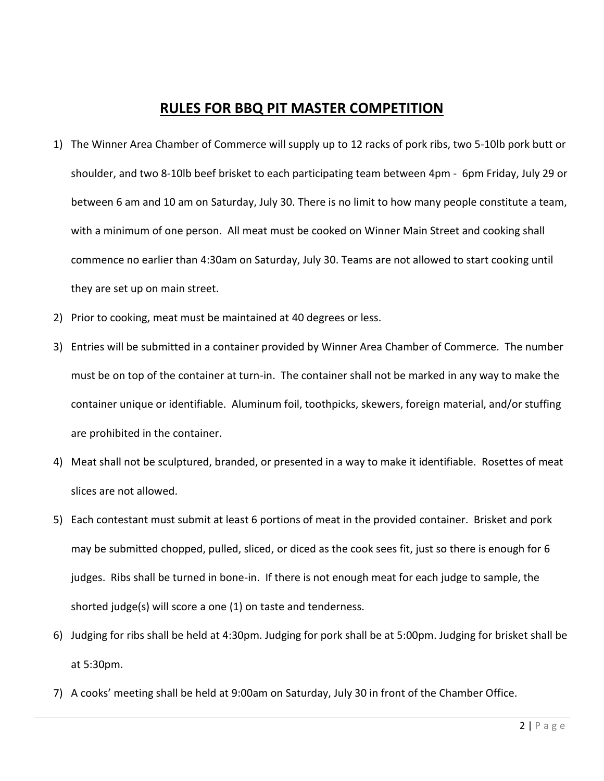## **RULES FOR BBQ PIT MASTER COMPETITION**

- 1) The Winner Area Chamber of Commerce will supply up to 12 racks of pork ribs, two 5-10lb pork butt or shoulder, and two 8-10lb beef brisket to each participating team between 4pm - 6pm Friday, July 29 or between 6 am and 10 am on Saturday, July 30. There is no limit to how many people constitute a team, with a minimum of one person. All meat must be cooked on Winner Main Street and cooking shall commence no earlier than 4:30am on Saturday, July 30. Teams are not allowed to start cooking until they are set up on main street.
- 2) Prior to cooking, meat must be maintained at 40 degrees or less.
- 3) Entries will be submitted in a container provided by Winner Area Chamber of Commerce. The number must be on top of the container at turn-in. The container shall not be marked in any way to make the container unique or identifiable. Aluminum foil, toothpicks, skewers, foreign material, and/or stuffing are prohibited in the container.
- 4) Meat shall not be sculptured, branded, or presented in a way to make it identifiable. Rosettes of meat slices are not allowed.
- 5) Each contestant must submit at least 6 portions of meat in the provided container. Brisket and pork may be submitted chopped, pulled, sliced, or diced as the cook sees fit, just so there is enough for 6 judges. Ribs shall be turned in bone-in. If there is not enough meat for each judge to sample, the shorted judge(s) will score a one (1) on taste and tenderness.
- 6) Judging for ribs shall be held at 4:30pm. Judging for pork shall be at 5:00pm. Judging for brisket shall be at 5:30pm.
- 7) A cooks' meeting shall be held at 9:00am on Saturday, July 30 in front of the Chamber Office.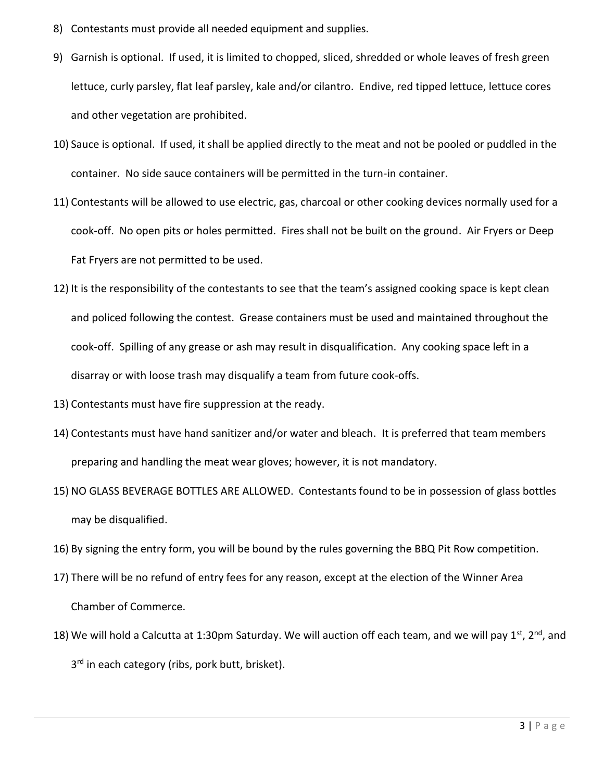- 8) Contestants must provide all needed equipment and supplies.
- 9) Garnish is optional. If used, it is limited to chopped, sliced, shredded or whole leaves of fresh green lettuce, curly parsley, flat leaf parsley, kale and/or cilantro. Endive, red tipped lettuce, lettuce cores and other vegetation are prohibited.
- 10) Sauce is optional. If used, it shall be applied directly to the meat and not be pooled or puddled in the container. No side sauce containers will be permitted in the turn-in container.
- 11) Contestants will be allowed to use electric, gas, charcoal or other cooking devices normally used for a cook-off. No open pits or holes permitted. Fires shall not be built on the ground. Air Fryers or Deep Fat Fryers are not permitted to be used.
- 12) It is the responsibility of the contestants to see that the team's assigned cooking space is kept clean and policed following the contest. Grease containers must be used and maintained throughout the cook-off. Spilling of any grease or ash may result in disqualification. Any cooking space left in a disarray or with loose trash may disqualify a team from future cook-offs.
- 13) Contestants must have fire suppression at the ready.
- 14) Contestants must have hand sanitizer and/or water and bleach. It is preferred that team members preparing and handling the meat wear gloves; however, it is not mandatory.
- 15) NO GLASS BEVERAGE BOTTLES ARE ALLOWED. Contestants found to be in possession of glass bottles may be disqualified.
- 16) By signing the entry form, you will be bound by the rules governing the BBQ Pit Row competition.
- 17) There will be no refund of entry fees for any reason, except at the election of the Winner Area Chamber of Commerce.
- 18) We will hold a Calcutta at 1:30pm Saturday. We will auction off each team, and we will pay 1st, 2<sup>nd</sup>, and 3<sup>rd</sup> in each category (ribs, pork butt, brisket).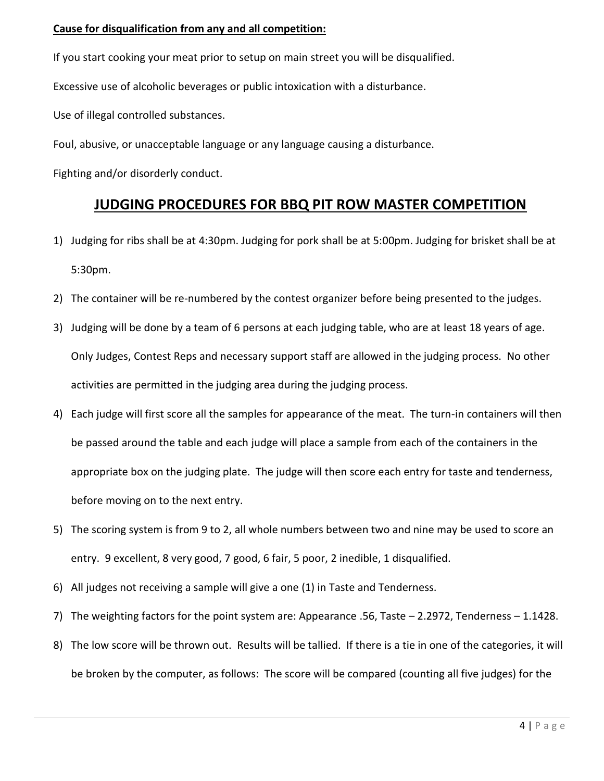#### **Cause for disqualification from any and all competition:**

If you start cooking your meat prior to setup on main street you will be disqualified.

Excessive use of alcoholic beverages or public intoxication with a disturbance.

Use of illegal controlled substances.

Foul, abusive, or unacceptable language or any language causing a disturbance.

Fighting and/or disorderly conduct.

## **JUDGING PROCEDURES FOR BBQ PIT ROW MASTER COMPETITION**

- 1) Judging for ribs shall be at 4:30pm. Judging for pork shall be at 5:00pm. Judging for brisket shall be at 5:30pm.
- 2) The container will be re-numbered by the contest organizer before being presented to the judges.
- 3) Judging will be done by a team of 6 persons at each judging table, who are at least 18 years of age. Only Judges, Contest Reps and necessary support staff are allowed in the judging process. No other activities are permitted in the judging area during the judging process.
- 4) Each judge will first score all the samples for appearance of the meat. The turn-in containers will then be passed around the table and each judge will place a sample from each of the containers in the appropriate box on the judging plate. The judge will then score each entry for taste and tenderness, before moving on to the next entry.
- 5) The scoring system is from 9 to 2, all whole numbers between two and nine may be used to score an entry. 9 excellent, 8 very good, 7 good, 6 fair, 5 poor, 2 inedible, 1 disqualified.
- 6) All judges not receiving a sample will give a one (1) in Taste and Tenderness.
- 7) The weighting factors for the point system are: Appearance .56, Taste 2.2972, Tenderness 1.1428.
- 8) The low score will be thrown out. Results will be tallied. If there is a tie in one of the categories, it will be broken by the computer, as follows: The score will be compared (counting all five judges) for the